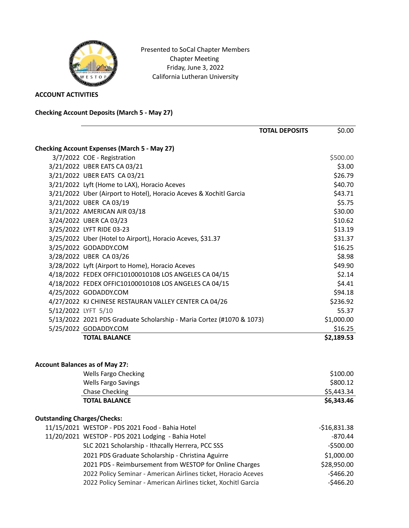

Presented to SoCal Chapter Members Chapter Meeting Friday, June 3, 2022 California Lutheran University

**ACCOUNT ACTIVITIES**

**Checking Account Deposits (March 5 - May 27)**

|                                       |                                                                       | <b>TOTAL DEPOSITS</b> | \$0.00        |
|---------------------------------------|-----------------------------------------------------------------------|-----------------------|---------------|
|                                       | <b>Checking Account Expenses (March 5 - May 27)</b>                   |                       |               |
|                                       | 3/7/2022 COE - Registration                                           |                       | \$500.00      |
|                                       | 3/21/2022 UBER EATS CA 03/21                                          |                       | \$3.00        |
|                                       | 3/21/2022 UBER EATS CA 03/21                                          |                       | \$26.79       |
|                                       | 3/21/2022 Lyft (Home to LAX), Horacio Aceves                          |                       | \$40.70       |
|                                       | 3/21/2022 Uber (Airport to Hotel), Horacio Aceves & Xochitl Garcia    |                       | \$43.71       |
|                                       | 3/21/2022 UBER CA 03/19                                               |                       | \$5.75        |
|                                       | 3/21/2022 AMERICAN AIR 03/18                                          |                       | \$30.00       |
|                                       | 3/24/2022 UBER CA 03/23                                               |                       | \$10.62       |
|                                       | 3/25/2022 LYFT RIDE 03-23                                             |                       | \$13.19       |
|                                       | 3/25/2022 Uber (Hotel to Airport), Horacio Aceves, \$31.37            |                       | \$31.37       |
|                                       | 3/25/2022 GODADDY.COM                                                 |                       | \$16.25       |
|                                       | 3/28/2022 UBER CA 03/26                                               |                       | \$8.98        |
|                                       | 3/28/2022 Lyft (Airport to Home), Horacio Aceves                      |                       | \$49.90       |
|                                       | 4/18/2022 FEDEX OFFIC10100010108 LOS ANGELES CA 04/15                 |                       | \$2.14        |
|                                       | 4/18/2022 FEDEX OFFIC10100010108 LOS ANGELES CA 04/15                 |                       | \$4.41        |
|                                       | 4/25/2022 GODADDY.COM                                                 |                       | \$94.18       |
|                                       | 4/27/2022 KJ CHINESE RESTAURAN VALLEY CENTER CA 04/26                 |                       | \$236.92      |
| 5/12/2022 LYFT 5/10                   |                                                                       |                       | 55.37         |
|                                       | 5/13/2022 2021 PDS Graduate Scholarship - Maria Cortez (#1070 & 1073) |                       | \$1,000.00    |
|                                       | 5/25/2022 GODADDY.COM                                                 |                       | \$16.25       |
|                                       | <b>TOTAL BALANCE</b>                                                  |                       | \$2,189.53    |
| <b>Account Balances as of May 27:</b> |                                                                       |                       |               |
|                                       | <b>Wells Fargo Checking</b>                                           |                       | \$100.00      |
|                                       | <b>Wells Fargo Savings</b>                                            |                       | \$800.12      |
|                                       | <b>Chase Checking</b>                                                 |                       | \$5,443.34    |
|                                       | <b>TOTAL BALANCE</b>                                                  |                       | \$6,343.46    |
| <b>Outstanding Charges/Checks:</b>    |                                                                       |                       |               |
|                                       | 11/15/2021 WESTOP - PDS 2021 Food - Bahia Hotel                       |                       | $-$16,831.38$ |
|                                       | 11/20/2021 WESTOP - PDS 2021 Lodging - Bahia Hotel                    |                       | $-870.44$     |
|                                       | SLC 2021 Scholarship - Ithzcally Herrera, PCC SSS                     |                       | $-$ \$500.00  |
|                                       | 2021 PDS Graduate Scholarship - Christina Aguirre                     |                       | \$1,000.00    |
|                                       | 2021 PDS - Reimbursement from WESTOP for Online Charges               |                       | \$28,950.00   |
|                                       | 2022 Policy Seminar - American Airlines ticket, Horacio Aceves        |                       | $-$ \$466.20  |
|                                       | 2022 Policy Seminar - American Airlines ticket, Xochitl Garcia        |                       | $-$ \$466.20  |